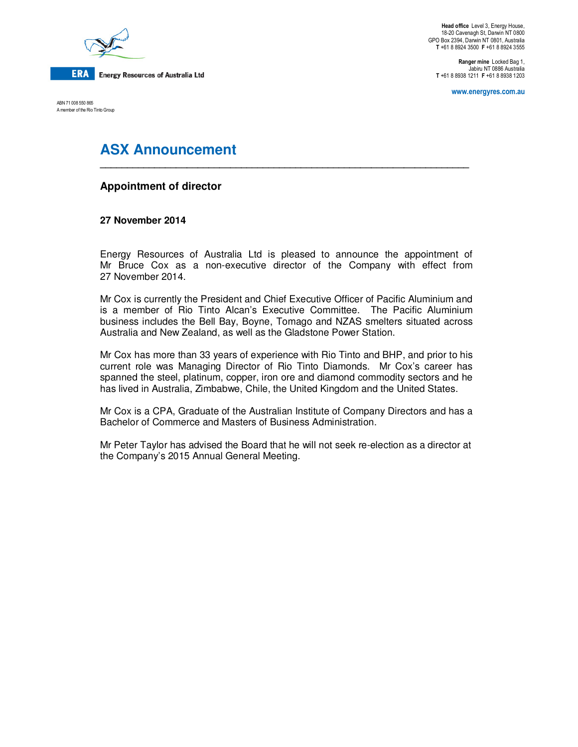

**Head office** Level 3, Energy House, 18-20 Cavenagh St, Darwin NT 0800 GPO Box 2394, Darwin NT 0801, Australia **T** +61 8 8924 3500 **F** +61 8 8924 3555

**Ranger mine** Locked Bag 1, Jabiru NT 0886 Australia **T** +61 8 8938 1211 **F** +61 8 8938 1203

**www.energyres.com.au** 

ABN 71 008 550 865 A member of the Rio Tinto Group

# **ASX Announcement**

## **Appointment of director**

### **27 November 2014**

Energy Resources of Australia Ltd is pleased to announce the appointment of Mr Bruce Cox as a non-executive director of the Company with effect from 27 November 2014.

**\_\_\_\_\_\_\_\_\_\_\_\_\_\_\_\_\_\_\_\_\_\_\_\_\_\_\_\_\_\_\_\_\_\_\_\_\_\_\_\_\_\_\_\_\_\_\_\_\_\_\_\_\_\_\_\_\_\_\_\_\_\_\_\_\_\_\_\_** 

Mr Cox is currently the President and Chief Executive Officer of Pacific Aluminium and is a member of Rio Tinto Alcan's Executive Committee. The Pacific Aluminium business includes the Bell Bay, Boyne, Tomago and NZAS smelters situated across Australia and New Zealand, as well as the Gladstone Power Station.

Mr Cox has more than 33 years of experience with Rio Tinto and BHP, and prior to his current role was Managing Director of Rio Tinto Diamonds. Mr Cox's career has spanned the steel, platinum, copper, iron ore and diamond commodity sectors and he has lived in Australia, Zimbabwe, Chile, the United Kingdom and the United States.

Mr Cox is a CPA, Graduate of the Australian Institute of Company Directors and has a Bachelor of Commerce and Masters of Business Administration.

Mr Peter Taylor has advised the Board that he will not seek re-election as a director at the Company's 2015 Annual General Meeting.